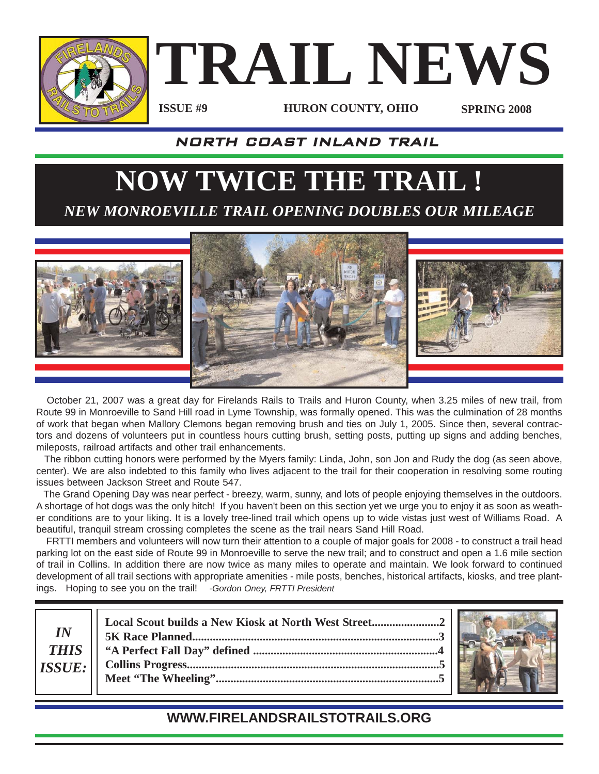

**TRAIL NEWS**

**ISSUE #9**

**HURON COUNTY, OHIO SPRING 2008**

### NORTH COAST INLAND TRAIL

# **NOW TWICE THE TRAIL !** *NEW MONROEVILLE TRAIL OPENING DOUBLES OUR MILEAGE*



October 21, 2007 was a great day for Firelands Rails to Trails and Huron County, when 3.25 miles of new trail, from Route 99 in Monroeville to Sand Hill road in Lyme Township, was formally opened. This was the culmination of 28 months of work that began when Mallory Clemons began removing brush and ties on July 1, 2005. Since then, several contractors and dozens of volunteers put in countless hours cutting brush, setting posts, putting up signs and adding benches, mileposts, railroad artifacts and other trail enhancements.

The ribbon cutting honors were performed by the Myers family: Linda, John, son Jon and Rudy the dog (as seen above, center). We are also indebted to this family who lives adjacent to the trail for their cooperation in resolving some routing issues between Jackson Street and Route 547.

The Grand Opening Day was near perfect - breezy, warm, sunny, and lots of people enjoying themselves in the outdoors. A shortage of hot dogs was the only hitch! If you haven't been on this section yet we urge you to enjoy it as soon as weather conditions are to your liking. It is a lovely tree-lined trail which opens up to wide vistas just west of Williams Road. A beautiful, tranquil stream crossing completes the scene as the trail nears Sand Hill Road.

FRTTI members and volunteers will now turn their attention to a couple of major goals for 2008 - to construct a trail head parking lot on the east side of Route 99 in Monroeville to serve the new trail; and to construct and open a 1.6 mile section of trail in Collins. In addition there are now twice as many miles to operate and maintain. We look forward to continued development of all trail sections with appropriate amenities - mile posts, benches, historical artifacts, kiosks, and tree plantings. Hoping to see you on the trail! *-Gordon Oney, FRTTI President*

**Local Scout builds a New Kiosk at North West Street.......................2 5K Race Planned....................................................................................3 "A Perfect Fall Day" defined ...............................................................4 Collins Progress......................................................................................5 Meet "The Wheeling"............................................................................5** *IN THIS ISSUE:*



### **WWW.FIRELANDSRAILSTOTRAILS.ORG**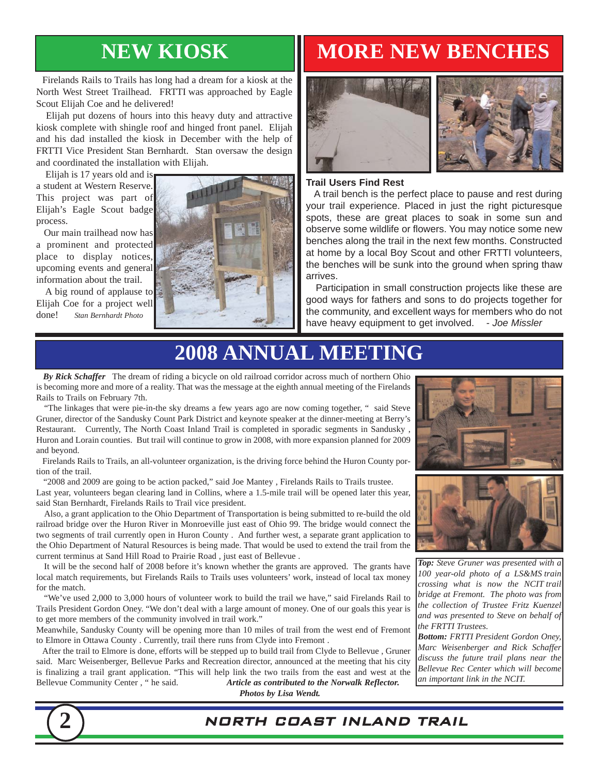Firelands Rails to Trails has long had a dream for a kiosk at the North West Street Trailhead. FRTTI was approached by Eagle Scout Elijah Coe and he delivered!

Elijah put dozens of hours into this heavy duty and attractive kiosk complete with shingle roof and hinged front panel. Elijah and his dad installed the kiosk in December with the help of FRTTI Vice President Stan Bernhardt. Stan oversaw the design and coordinated the installation with Elijah.

Elijah is 17 years old and is a student at Western Reserve. This project was part of Elijah's Eagle Scout badge

process. Our main trailhead now has a prominent and protected place to display notices, upcoming events and general information about the trail.

A big round of applause to Elijah Coe for a project well done! *Stan Bernhardt Photo*



## **NEW KIOSK MORE NEW BENCHES**





#### **Trail Users Find Rest**

A trail bench is the perfect place to pause and rest during your trail experience. Placed in just the right picturesque spots, these are great places to soak in some sun and observe some wildlife or flowers. You may notice some new benches along the trail in the next few months. Constructed at home by a local Boy Scout and other FRTTI volunteers, the benches will be sunk into the ground when spring thaw arrives.

Participation in small construction projects like these are good ways for fathers and sons to do projects together for the community, and excellent ways for members who do not have heavy equipment to get involved. *- Joe Missler*

# **2008 ANNUAL MEETING**

*By Rick Schaffer* The dream of riding a bicycle on old railroad corridor across much of northern Ohio is becoming more and more of a reality. That was the message at the eighth annual meeting of the Firelands Rails to Trails on February 7th.

"The linkages that were pie-in-the sky dreams a few years ago are now coming together, " said Steve Gruner, director of the Sandusky Count Park District and keynote speaker at the dinner-meeting at Berry's Restaurant. Currently, The North Coast Inland Trail is completed in sporadic segments in Sandusky , Huron and Lorain counties. But trail will continue to grow in 2008, with more expansion planned for 2009 and beyond.

Firelands Rails to Trails, an all-volunteer organization, is the driving force behind the Huron County portion of the trail.

"2008 and 2009 are going to be action packed," said Joe Mantey , Firelands Rails to Trails trustee. Last year, volunteers began clearing land in Collins, where a 1.5-mile trail will be opened later this year, said Stan Bernhardt, Firelands Rails to Trail vice president.

Also, a grant application to the Ohio Department of Transportation is being submitted to re-build the old railroad bridge over the Huron River in Monroeville just east of Ohio 99. The bridge would connect the two segments of trail currently open in Huron County . And further west, a separate grant application to the Ohio Department of Natural Resources is being made. That would be used to extend the trail from the current terminus at Sand Hill Road to Prairie Road , just east of Bellevue .

It will be the second half of 2008 before it's known whether the grants are approved. The grants have local match requirements, but Firelands Rails to Trails uses volunteers' work, instead of local tax money for the match.

"We've used 2,000 to 3,000 hours of volunteer work to build the trail we have," said Firelands Rail to Trails President Gordon Oney. "We don't deal with a large amount of money. One of our goals this year is to get more members of the community involved in trail work."

Meanwhile, Sandusky County will be opening more than 10 miles of trail from the west end of Fremont to Elmore in Ottawa County . Currently, trail there runs from Clyde into Fremont .

After the trail to Elmore is done, efforts will be stepped up to build trail from Clyde to Bellevue , Gruner said. Marc Weisenberger, Bellevue Parks and Recreation director, announced at the meeting that his city is finalizing a trail grant application. "This will help link the two trails from the east and west at the Bellevue Community Center , " he said. *Article as contributed to the Norwalk Reflector.*





*Top: Steve Gruner was presented with a 100 year-old photo of a LS&MS train crossing what is now the NCIT trail bridge at Fremont. The photo was from the collection of Trustee Fritz Kuenzel and was presented to Steve on behalf of the FRTTI Trustees.*

*Bottom: FRTTI President Gordon Oney, Marc Weisenberger and Rick Schaffer discuss the future trail plans near the Bellevue Rec Center which will become an important link in the NCIT.*

*Photos by Lisa Wendt.*

**2** NORTH COAST INLAND TRAIL

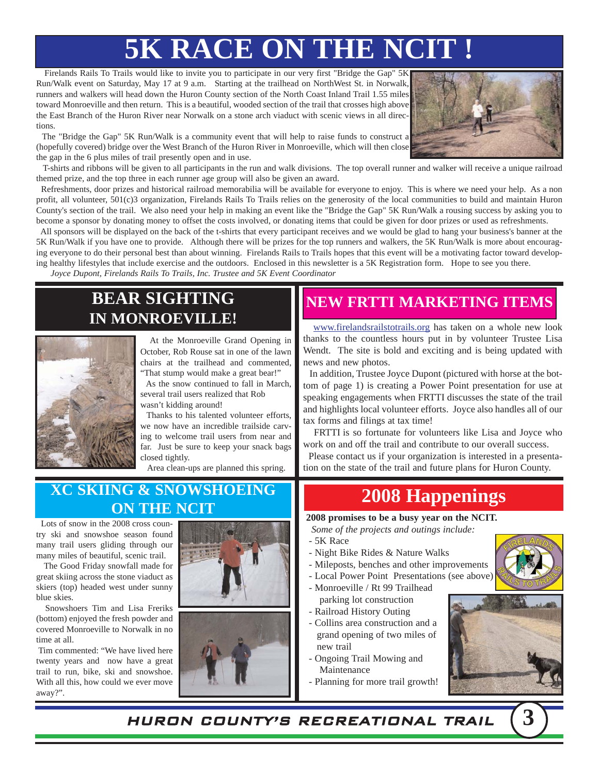# **5K RACE ON THE NCIT !**

Firelands Rails To Trails would like to invite you to participate in our very first "Bridge the Gap" 5K Run/Walk event on Saturday, May 17 at 9 a.m. Starting at the trailhead on NorthWest St. in Norwalk, runners and walkers will head down the Huron County section of the North Coast Inland Trail 1.55 miles toward Monroeville and then return. This is a beautiful, wooded section of the trail that crosses high above the East Branch of the Huron River near Norwalk on a stone arch viaduct with scenic views in all directions.



The "Bridge the Gap" 5K Run/Walk is a community event that will help to raise funds to construct a (hopefully covered) bridge over the West Branch of the Huron River in Monroeville, which will then close the gap in the 6 plus miles of trail presently open and in use.

T-shirts and ribbons will be given to all participants in the run and walk divisions. The top overall runner and walker will receive a unique railroad themed prize, and the top three in each runner age group will also be given an award.

Refreshments, door prizes and historical railroad memorabilia will be available for everyone to enjoy. This is where we need your help. As a non profit, all volunteer, 501(c)3 organization, Firelands Rails To Trails relies on the generosity of the local communities to build and maintain Huron County's section of the trail. We also need your help in making an event like the "Bridge the Gap" 5K Run/Walk a rousing success by asking you to become a sponsor by donating money to offset the costs involved, or donating items that could be given for door prizes or used as refreshments.

All sponsors will be displayed on the back of the t-shirts that every participant receives and we would be glad to hang your business's banner at the 5K Run/Walk if you have one to provide. Although there will be prizes for the top runners and walkers, the 5K Run/Walk is more about encouraging everyone to do their personal best than about winning. Firelands Rails to Trails hopes that this event will be a motivating factor toward developing healthy lifestyles that include exercise and the outdoors. Enclosed in this newsletter is a 5K Registration form. Hope to see you there.

*Joyce Dupont, Firelands Rails To Trails, Inc. Trustee and 5K Event Coordinator*

### **BEAR SIGHTING IN MONROEVILLE!**



At the Monroeville Grand Opening in October, Rob Rouse sat in one of the lawn chairs at the trailhead and commented, "That stump would make a great bear!"

As the snow continued to fall in March, several trail users realized that Rob wasn't kidding around!

Thanks to his talented volunteer efforts, we now have an incredible trailside carving to welcome trail users from near and far. Just be sure to keep your snack bags closed tightly.

Area clean-ups are planned this spring.

### **XC SKIING & SNOWSHOEING ON THE NCIT CONTRENCT READER**

Lots of snow in the 2008 cross country ski and snowshoe season found many trail users gliding through our many miles of beautiful, scenic trail.

The Good Friday snowfall made for great skiing across the stone viaduct as skiers (top) headed west under sunny blue skies.

Snowshoers Tim and Lisa Freriks (bottom) enjoyed the fresh powder and covered Monroeville to Norwalk in no time at all.

Tim commented: "We have lived here twenty years and now have a great trail to run, bike, ski and snowshoe. With all this, how could we ever move away?".





### **NEW FRTTI MARKETING ITEMS**

www.firelandsrailstotrails.org has taken on a whole new look thanks to the countless hours put in by volunteer Trustee Lisa Wendt. The site is bold and exciting and is being updated with news and new photos.

In addition, Trustee Joyce Dupont (pictured with horse at the bottom of page 1) is creating a Power Point presentation for use at speaking engagements when FRTTI discusses the state of the trail and highlights local volunteer efforts. Joyce also handles all of our tax forms and filings at tax time!

FRTTI is so fortunate for volunteers like Lisa and Joyce who work on and off the trail and contribute to our overall success.

Please contact us if your organization is interested in a presentation on the state of the trail and future plans for Huron County.

**2008 promises to be a busy year on the NCIT.**

*Some of the projects and outings include:*

- 5K Race
- Night Bike Rides & Nature Walks
- Mileposts, benches and other improvements
- Local Power Point Presentations (see above)
- Monroeville / Rt 99 Trailhead parking lot construction
- Railroad History Outing
- Collins area construction and a grand opening of two miles of new trail
- Ongoing Trail Mowing and Maintenance
- Planning for more trail growth!





HURON COUNTY'S RECREATIONAL TRAIL **3**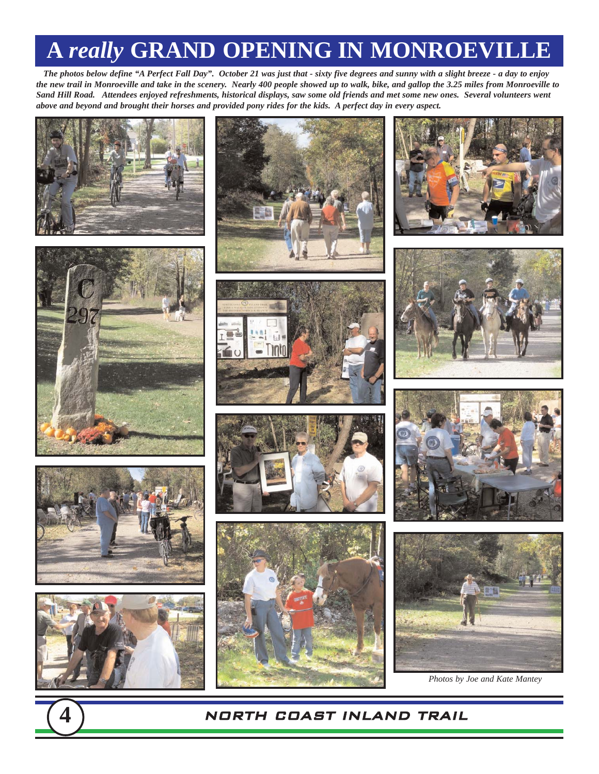# **A** *really* **GRAND OPENING IN MONROEVILLE**

*The photos below define "A Perfect Fall Day". October 21 was just that - sixty five degrees and sunny with a slight breeze - a day to enjoy the new trail in Monroeville and take in the scenery. Nearly 400 people showed up to walk, bike, and gallop the 3.25 miles from Monroeville to Sand Hill Road. Attendees enjoyed refreshments, historical displays, saw some old friends and met some new ones. Several volunteers went above and beyond and brought their horses and provided pony rides for the kids. A perfect day in every aspect.*





















*Photos by Joe and Kate Mantey*





#### **4** NORTH COAST INLAND TRAIL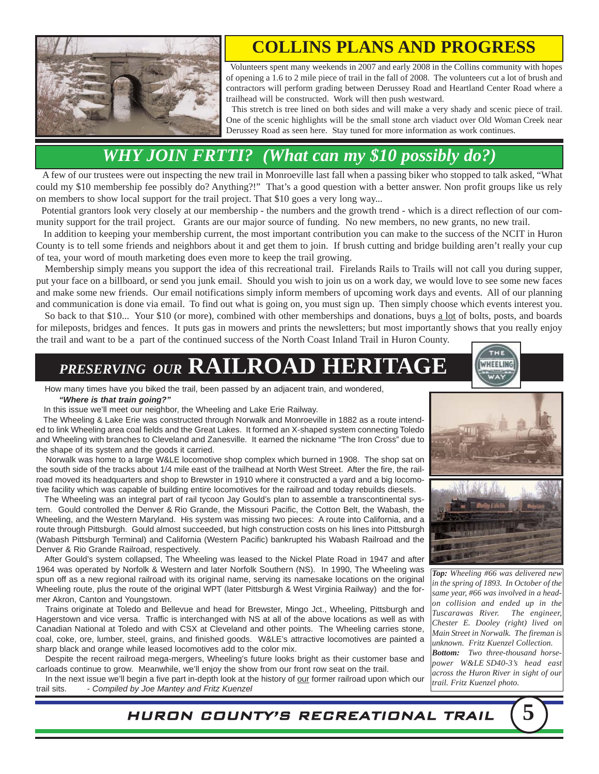

### **COLLINS PLANS AND PROGRESS**

Volunteers spent many weekends in 2007 and early 2008 in the Collins community with hopes of opening a 1.6 to 2 mile piece of trail in the fall of 2008. The volunteers cut a lot of brush and contractors will perform grading between Derussey Road and Heartland Center Road where a trailhead will be constructed. Work will then push westward.

This stretch is tree lined on both sides and will make a very shady and scenic piece of trail. One of the scenic highlights will be the small stone arch viaduct over Old Woman Creek near Derussey Road as seen here. Stay tuned for more information as work continues.

### *WHY JOIN FRTTI? (What can my \$10 possibly do?)*

A few of our trustees were out inspecting the new trail in Monroeville last fall when a passing biker who stopped to talk asked, "What could my \$10 membership fee possibly do? Anything?!" That's a good question with a better answer. Non profit groups like us rely on members to show local support for the trail project. That \$10 goes a very long way...

Potential grantors look very closely at our membership - the numbers and the growth trend - which is a direct reflection of our community support for the trail project. Grants are our major source of funding. No new members, no new grants, no new trail.

In addition to keeping your membership current, the most important contribution you can make to the success of the NCIT in Huron County is to tell some friends and neighbors about it and get them to join. If brush cutting and bridge building aren't really your cup of tea, your word of mouth marketing does even more to keep the trail growing.

Membership simply means you support the idea of this recreational trail. Firelands Rails to Trails will not call you during supper, put your face on a billboard, or send you junk email. Should you wish to join us on a work day, we would love to see some new faces and make some new friends. Our email notifications simply inform members of upcoming work days and events. All of our planning and communication is done via email. To find out what is going on, you must sign up. Then simply choose which events interest you. So back to that \$10... Your \$10 (or more), combined with other memberships and donations, buys a lot of bolts, posts, and boards

for mileposts, bridges and fences. It puts gas in mowers and prints the newsletters; but most importantly shows that you really enjoy the trail and want to be a part of the continued success of the North Coast Inland Trail in Huron County.

# *PRESERVING OUR* **RAILROAD HERITAGE**

How many times have you biked the trail, been passed by an adjacent train, and wondered,

#### *"Where is that train going?"*

In this issue we'll meet our neighbor, the Wheeling and Lake Erie Railway.

The Wheeling & Lake Erie was constructed through Norwalk and Monroeville in 1882 as a route intended to link Wheeling area coal fields and the Great Lakes. It formed an X-shaped system connecting Toledo and Wheeling with branches to Cleveland and Zanesville. It earned the nickname "The Iron Cross" due to the shape of its system and the goods it carried.

Norwalk was home to a large W&LE locomotive shop complex which burned in 1908. The shop sat on the south side of the tracks about 1/4 mile east of the trailhead at North West Street. After the fire, the railroad moved its headquarters and shop to Brewster in 1910 where it constructed a yard and a big locomotive facility which was capable of building entire locomotives for the railroad and today rebuilds diesels.

The Wheeling was an integral part of rail tycoon Jay Gould's plan to assemble a transcontinental system. Gould controlled the Denver & Rio Grande, the Missouri Pacific, the Cotton Belt, the Wabash, the Wheeling, and the Western Maryland. His system was missing two pieces: A route into California, and a route through Pittsburgh. Gould almost succeeded, but high construction costs on his lines into Pittsburgh (Wabash Pittsburgh Terminal) and California (Western Pacific) bankrupted his Wabash Railroad and the Denver & Rio Grande Railroad, respectively.

After Gould's system collapsed, The Wheeling was leased to the Nickel Plate Road in 1947 and after 1964 was operated by Norfolk & Western and later Norfolk Southern (NS). In 1990, The Wheeling was spun off as a new regional railroad with its original name, serving its namesake locations on the original Wheeling route, plus the route of the original WPT (later Pittsburgh & West Virginia Railway) and the former Akron, Canton and Youngstown.

Trains originate at Toledo and Bellevue and head for Brewster, Mingo Jct., Wheeling, Pittsburgh and Hagerstown and vice versa. Traffic is interchanged with NS at all of the above locations as well as with Canadian National at Toledo and with CSX at Cleveland and other points. The Wheeling carries stone, coal, coke, ore, lumber, steel, grains, and finished goods. W&LE's attractive locomotives are painted a sharp black and orange while leased locomotives add to the color mix.

Despite the recent railroad mega-mergers, Wheeling's future looks bright as their customer base and carloads continue to grow. Meanwhile, we'll enjoy the show from our front row seat on the trail.

In the next issue we'll begin a five part in-depth look at the history of our former railroad upon which our trail sits. *- Compiled by Joe Mantey and Fritz Kuenzel* 



WHEELING



*Top: Wheeling #66 was delivered new in the spring of 1893. In October of the same year, #66 was involved in a headon collision and ended up in the Tuscarawas River. The engineer, Chester E. Dooley (right) lived on Main Street in Norwalk. The fireman is unknown. Fritz Kuenzel Collection. Bottom: Two three-thousand horsepower W&LE SD40-3's head east across the Huron River in sight of our trail. Fritz Kuenzel photo.*

HURON COUNTY'S RECREATIONAL TRAIL **5**